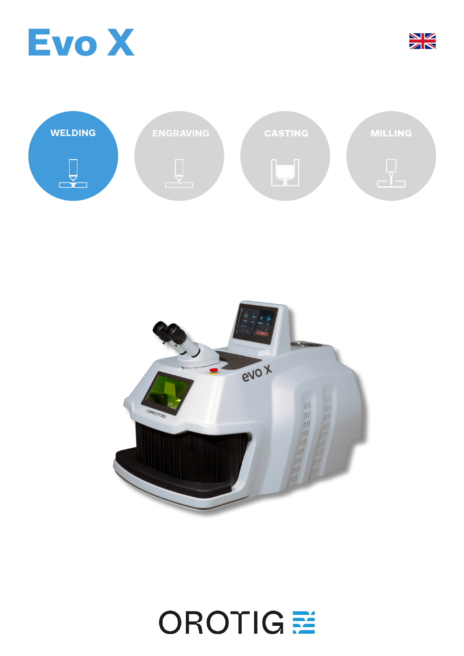







## OROTIGE